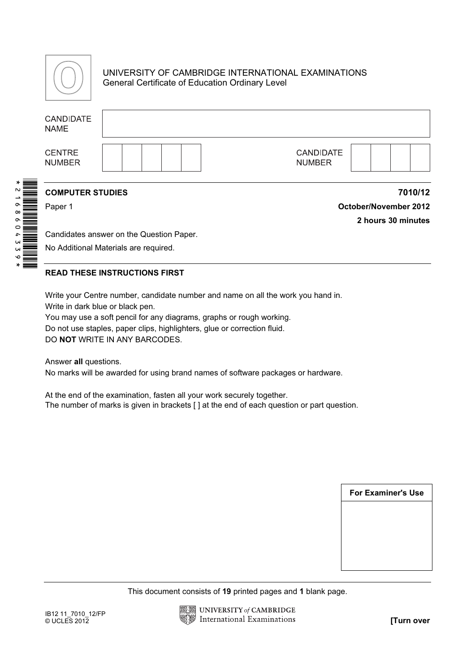

### UNIVERSITY OF CAMBRIDGE INTERNATIONAL EXAMINATIONS General Certificate of Education Ordinary Level

| <b>CANDIDATE</b><br><b>NAME</b>                                                                                                                                                                                                                                                                                                    |  |  |  |  |  |                                                              |  |  |                            |                           |  |                       |
|------------------------------------------------------------------------------------------------------------------------------------------------------------------------------------------------------------------------------------------------------------------------------------------------------------------------------------|--|--|--|--|--|--------------------------------------------------------------|--|--|----------------------------|---------------------------|--|-----------------------|
| <b>CENTRE</b><br><b>NUMBER</b>                                                                                                                                                                                                                                                                                                     |  |  |  |  |  |                                                              |  |  | CANDIDATE<br><b>NUMBER</b> |                           |  |                       |
| <b>COMPUTER STUDIES</b>                                                                                                                                                                                                                                                                                                            |  |  |  |  |  |                                                              |  |  |                            |                           |  | 7010/12               |
| Paper 1                                                                                                                                                                                                                                                                                                                            |  |  |  |  |  |                                                              |  |  |                            |                           |  | October/November 2012 |
|                                                                                                                                                                                                                                                                                                                                    |  |  |  |  |  |                                                              |  |  |                            |                           |  | 2 hours 30 minutes    |
| Candidates answer on the Question Paper.                                                                                                                                                                                                                                                                                           |  |  |  |  |  |                                                              |  |  |                            |                           |  |                       |
| No Additional Materials are required.                                                                                                                                                                                                                                                                                              |  |  |  |  |  |                                                              |  |  |                            |                           |  |                       |
| <b>READ THESE INSTRUCTIONS FIRST</b>                                                                                                                                                                                                                                                                                               |  |  |  |  |  |                                                              |  |  |                            |                           |  |                       |
| Write your Centre number, candidate number and name on all the work you hand in.<br>Write in dark blue or black pen.<br>You may use a soft pencil for any diagrams, graphs or rough working.<br>Do not use staples, paper clips, highlighters, glue or correction fluid.<br>DO NOT WRITE IN ANY BARCODES.<br>Answer all questions. |  |  |  |  |  |                                                              |  |  |                            |                           |  |                       |
| No marks will be awarded for using brand names of software packages or hardware.                                                                                                                                                                                                                                                   |  |  |  |  |  |                                                              |  |  |                            |                           |  |                       |
| At the end of the examination, fasten all your work securely together.<br>The number of marks is given in brackets [] at the end of each question or part question.                                                                                                                                                                |  |  |  |  |  |                                                              |  |  |                            |                           |  |                       |
|                                                                                                                                                                                                                                                                                                                                    |  |  |  |  |  |                                                              |  |  |                            |                           |  |                       |
|                                                                                                                                                                                                                                                                                                                                    |  |  |  |  |  |                                                              |  |  |                            |                           |  |                       |
|                                                                                                                                                                                                                                                                                                                                    |  |  |  |  |  |                                                              |  |  |                            |                           |  |                       |
|                                                                                                                                                                                                                                                                                                                                    |  |  |  |  |  |                                                              |  |  |                            |                           |  |                       |
|                                                                                                                                                                                                                                                                                                                                    |  |  |  |  |  |                                                              |  |  |                            | <b>For Examiner's Use</b> |  |                       |
|                                                                                                                                                                                                                                                                                                                                    |  |  |  |  |  |                                                              |  |  |                            |                           |  |                       |
|                                                                                                                                                                                                                                                                                                                                    |  |  |  |  |  |                                                              |  |  |                            |                           |  |                       |
|                                                                                                                                                                                                                                                                                                                                    |  |  |  |  |  |                                                              |  |  |                            |                           |  |                       |
|                                                                                                                                                                                                                                                                                                                                    |  |  |  |  |  |                                                              |  |  |                            |                           |  |                       |
|                                                                                                                                                                                                                                                                                                                                    |  |  |  |  |  |                                                              |  |  |                            |                           |  |                       |
|                                                                                                                                                                                                                                                                                                                                    |  |  |  |  |  | This document consists of 19 printed pages and 1 blank page. |  |  |                            |                           |  |                       |
| IB12 11_7010_12/FP<br>© UCLES 2012                                                                                                                                                                                                                                                                                                 |  |  |  |  |  | UNIVERSITY of CAMBRIDGE                                      |  |  |                            |                           |  |                       |
|                                                                                                                                                                                                                                                                                                                                    |  |  |  |  |  | <b>International Examinations</b>                            |  |  |                            |                           |  | [Turn over            |

### READ THESE INSTRUCTIONS FIRST

| <b>For Examiner's Use</b> |
|---------------------------|
|                           |
|                           |
|                           |
|                           |

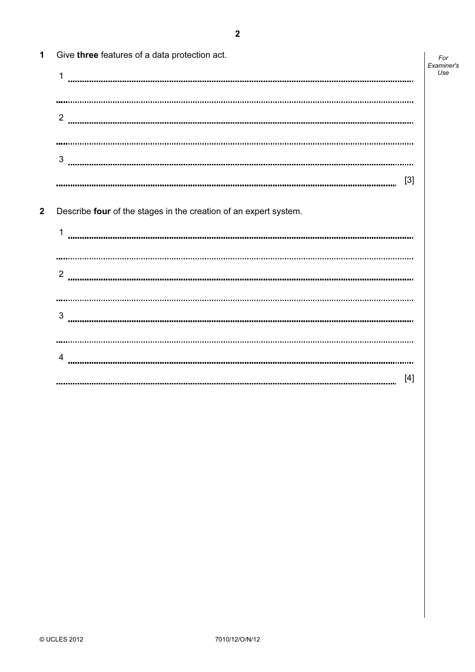| $\mathbf{1}$            | Give three features of a data protection act.                    | For<br>Examiner's |
|-------------------------|------------------------------------------------------------------|-------------------|
|                         | 1                                                                | Use               |
|                         |                                                                  |                   |
|                         | $\overline{2}$                                                   |                   |
|                         |                                                                  |                   |
|                         |                                                                  |                   |
|                         | 3                                                                |                   |
|                         | $[3]$                                                            |                   |
| $\overline{\mathbf{2}}$ | Describe four of the stages in the creation of an expert system. |                   |
|                         | 1                                                                |                   |
|                         |                                                                  |                   |
|                         | 2                                                                |                   |
|                         |                                                                  |                   |
|                         | $\sqrt{3}$                                                       |                   |
|                         |                                                                  |                   |
|                         | 4                                                                |                   |
|                         | $[4]$                                                            |                   |
|                         |                                                                  |                   |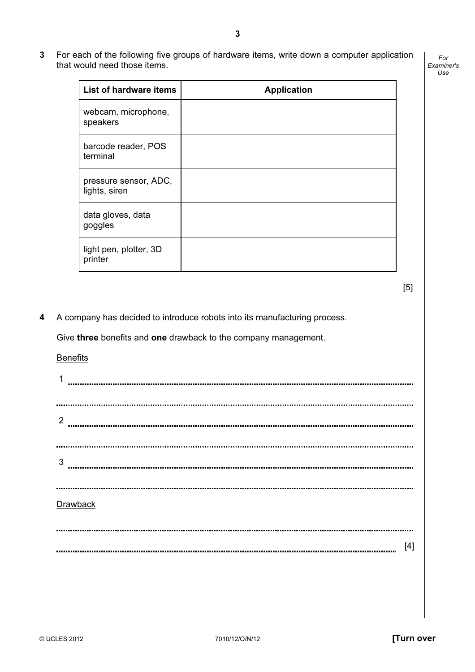- List of hardware items | Application
- 3 For each of the following five groups of hardware items, write down a computer application that would need those items.

 $[5]$ 

For Examiner's Use

4 A company has decided to introduce robots into its manufacturing process.

Give three benefits and one drawback to the company management.

**Benefits** 

webcam, microphone,

barcode reader, POS

pressure sensor, ADC,

speakers

terminal

lights, siren

goggles

printer

data gloves, data

light pen, plotter, 3D

1 2 3 Drawback [4]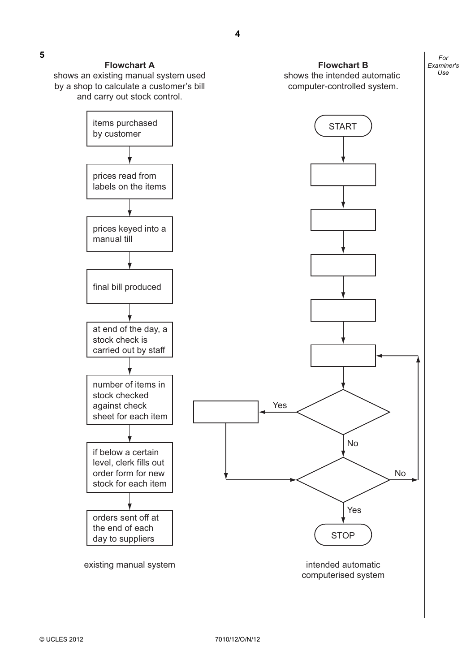shows an existing manual system used by a shop to calculate a customer's bill and carry out stock control.

# **Flowchart B**

shows the intended automatic computer-controlled system.

For Examiner's Use



4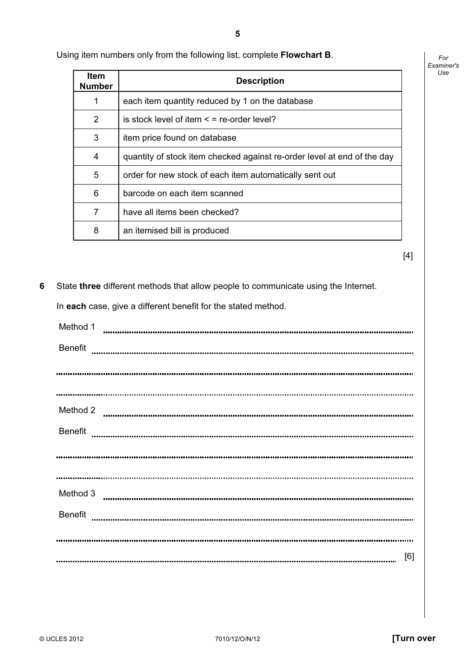Using item numbers only from the following list, complete Flowchart B.

| ltem<br><b>Number</b> | <b>Description</b>                                                      |
|-----------------------|-------------------------------------------------------------------------|
| 1                     | each item quantity reduced by 1 on the database                         |
| 2                     | is stock level of item $\leq$ = re-order level?                         |
| 3                     | item price found on database                                            |
| 4                     | quantity of stock item checked against re-order level at end of the day |
| 5                     | order for new stock of each item automatically sent out                 |
| 6                     | barcode on each item scanned                                            |
| 7                     | have all items been checked?                                            |
| 8                     | an itemised bill is produced                                            |

 $[4]$ 

For Examiner's Use

6 State three different methods that allow people to communicate using the Internet.

In each case, give a different benefit for the stated method.

| Method 1       |  |
|----------------|--|
| <b>Benefit</b> |  |
|                |  |
|                |  |
|                |  |
| Method 2       |  |
| <b>Benefit</b> |  |
|                |  |
|                |  |
|                |  |
| Method 3       |  |
| <b>Benefit</b> |  |
|                |  |
|                |  |
| [6]            |  |
|                |  |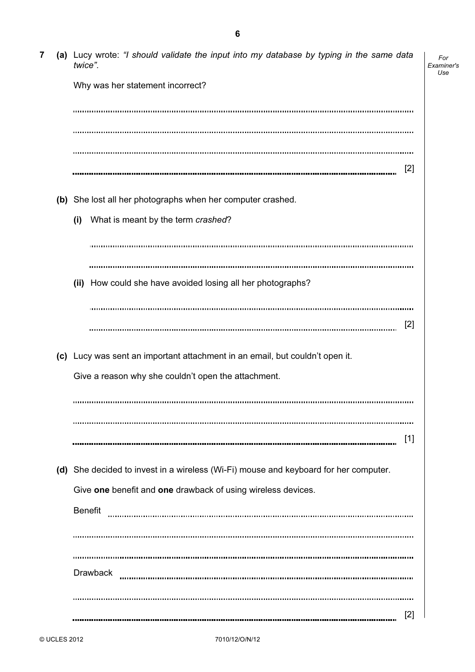| 7 | (a) Lucy wrote: "I should validate the input into my database by typing in the same data<br>twice". | For<br>Examiner's<br>Use |
|---|-----------------------------------------------------------------------------------------------------|--------------------------|
|   | Why was her statement incorrect?                                                                    |                          |
|   |                                                                                                     |                          |
|   |                                                                                                     |                          |
|   | [2]                                                                                                 |                          |
|   | (b) She lost all her photographs when her computer crashed.                                         |                          |
|   | (i)<br>What is meant by the term crashed?                                                           |                          |
|   |                                                                                                     |                          |
|   |                                                                                                     |                          |
|   | (ii) How could she have avoided losing all her photographs?                                         |                          |
|   |                                                                                                     |                          |
|   | [2]                                                                                                 |                          |
|   | (c) Lucy was sent an important attachment in an email, but couldn't open it.                        |                          |
|   | Give a reason why she couldn't open the attachment.                                                 |                          |
|   |                                                                                                     |                          |
|   |                                                                                                     |                          |
|   | $[1]$                                                                                               |                          |
|   | (d) She decided to invest in a wireless (Wi-Fi) mouse and keyboard for her computer.                |                          |
|   | Give one benefit and one drawback of using wireless devices.                                        |                          |
|   | <b>Benefit</b>                                                                                      |                          |
|   |                                                                                                     |                          |
|   |                                                                                                     |                          |
|   | <b>Drawback</b>                                                                                     |                          |
|   |                                                                                                     |                          |
|   | [2]                                                                                                 |                          |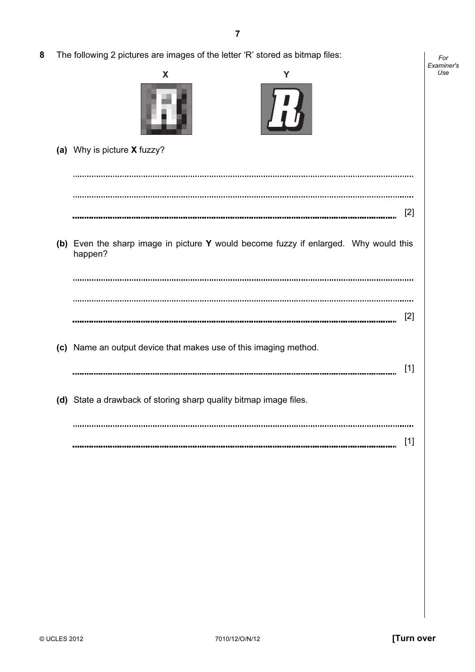| 8 | The following 2 pictures are images of the letter 'R' stored as bitmap files:                   | For               |
|---|-------------------------------------------------------------------------------------------------|-------------------|
|   | X<br>Y                                                                                          | Examiner's<br>Use |
|   | (a) Why is picture X fuzzy?                                                                     |                   |
|   |                                                                                                 |                   |
|   | $[2]$                                                                                           |                   |
|   | (b) Even the sharp image in picture Y would become fuzzy if enlarged. Why would this<br>happen? |                   |
|   | $[2]$                                                                                           |                   |
|   | (c) Name an output device that makes use of this imaging method.<br>$[1]$                       |                   |
|   | (d) State a drawback of storing sharp quality bitmap image files.                               |                   |
|   | $[1]$                                                                                           |                   |
|   |                                                                                                 |                   |
|   |                                                                                                 |                   |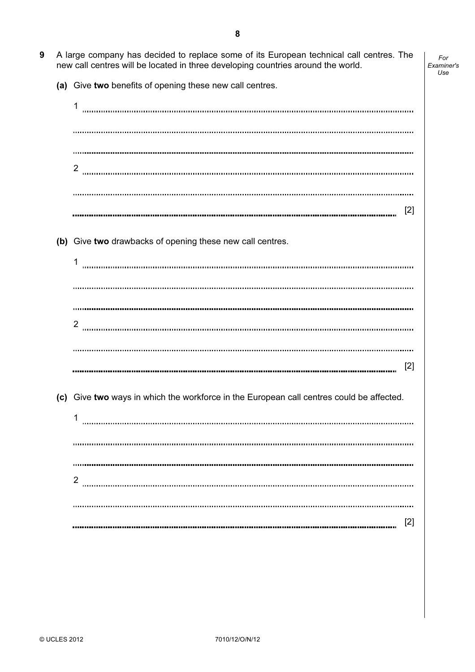- 9 A large company has decided to replace some of its European technical call centres. The new call centres will be located in three developing countries around the world.
	- (a) Give two benefits of opening these new call centres.

1 2 [2] (b) Give two drawbacks of opening these new call centres. 1 2 [2] (c) Give two ways in which the workforce in the European call centres could be affected. 1 2 [2] 

For Examiner's Use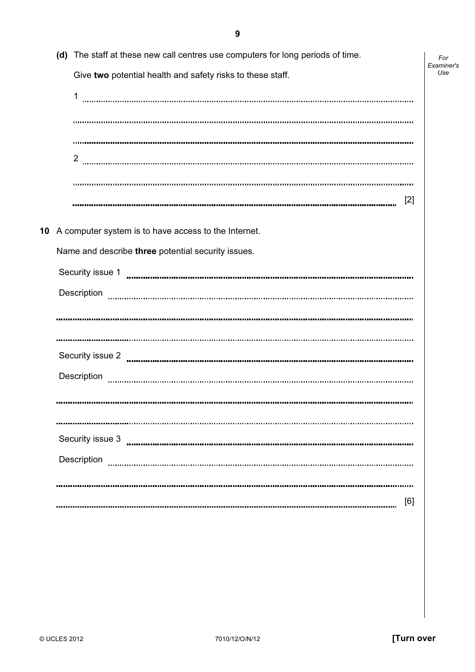| (d) The staff at these new call centres use computers for long periods of time. | For<br>Examiner's |
|---------------------------------------------------------------------------------|-------------------|
| Give two potential health and safety risks to these staff.                      | Use               |
| 1                                                                               |                   |
|                                                                                 |                   |
|                                                                                 |                   |
| $\overline{2}$                                                                  |                   |
|                                                                                 |                   |
| $[2]$                                                                           |                   |
| 10 A computer system is to have access to the Internet.                         |                   |
| Name and describe three potential security issues.                              |                   |
|                                                                                 |                   |
| Description                                                                     |                   |
|                                                                                 |                   |
|                                                                                 |                   |
|                                                                                 |                   |
| Description                                                                     |                   |
|                                                                                 |                   |
|                                                                                 |                   |
|                                                                                 |                   |
| Description                                                                     |                   |
|                                                                                 |                   |
| [6]                                                                             |                   |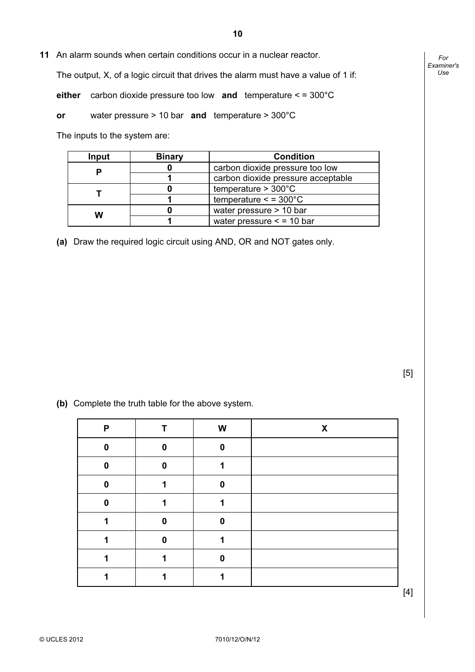11 An alarm sounds when certain conditions occur in a nuclear reactor.

The output, X, of a logic circuit that drives the alarm must have a value of 1 if:

either carbon dioxide pressure too low and temperature < = 300°C

or water pressure > 10 bar and temperature > 300°C

The inputs to the system are:

| Input | <b>Binary</b> | <b>Condition</b>                    |
|-------|---------------|-------------------------------------|
|       |               | carbon dioxide pressure too low     |
|       |               | carbon dioxide pressure acceptable  |
|       |               | temperature $> 300^{\circ}$ C       |
|       |               | temperature $\le$ = 300 $\degree$ C |
| w     |               | water pressure > 10 bar             |
|       |               | water pressure $\le$ = 10 bar       |

(a) Draw the required logic circuit using AND, OR and NOT gates only.

 $[5]$ 

(b) Complete the truth table for the above system.

| P |          | W | X |
|---|----------|---|---|
| 0 | $\bf{0}$ | 0 |   |
| 0 | 0        |   |   |
| 0 |          | 0 |   |
| 0 |          |   |   |
|   | 0        | 0 |   |
|   | U        |   |   |
|   |          | 0 |   |
|   |          |   |   |
|   |          |   |   |

For Examiner's Use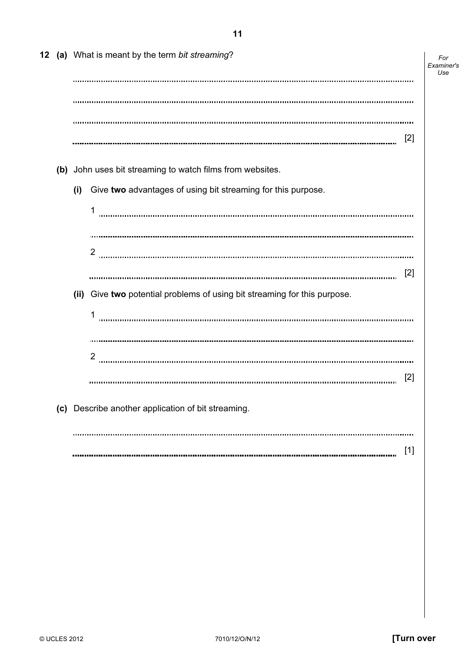|  |     | 12 (a) What is meant by the term bit streaming?                           | For<br>Examiner's<br>Use |
|--|-----|---------------------------------------------------------------------------|--------------------------|
|  |     |                                                                           |                          |
|  |     |                                                                           |                          |
|  |     |                                                                           |                          |
|  |     | $[2]$                                                                     |                          |
|  |     | (b) John uses bit streaming to watch films from websites.                 |                          |
|  | (i) | Give two advantages of using bit streaming for this purpose.              |                          |
|  |     | 1                                                                         |                          |
|  |     |                                                                           |                          |
|  |     | 2                                                                         |                          |
|  |     | [2]                                                                       |                          |
|  |     | (ii) Give two potential problems of using bit streaming for this purpose. |                          |
|  |     |                                                                           |                          |
|  |     |                                                                           |                          |
|  |     | 2                                                                         |                          |
|  |     | $[2]$                                                                     |                          |
|  |     | (c) Describe another application of bit streaming.                        |                          |
|  |     |                                                                           |                          |
|  |     | [1]                                                                       |                          |
|  |     |                                                                           |                          |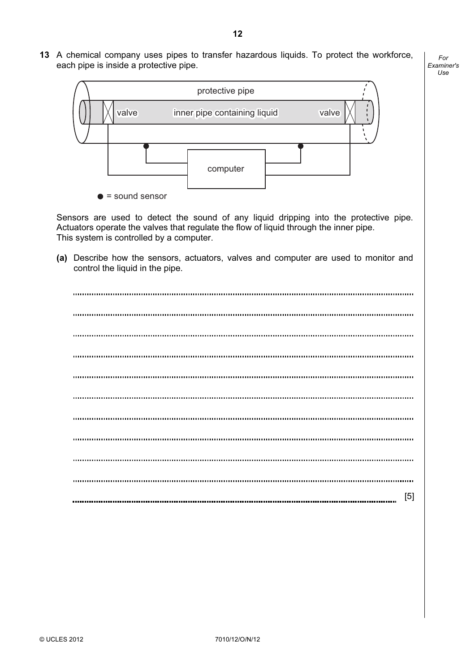13 A chemical company uses pipes to transfer hazardous liquids. To protect the workforce, each pipe is inside a protective pipe.

For Examiner's Use



 Sensors are used to detect the sound of any liquid dripping into the protective pipe. Actuators operate the valves that regulate the flow of liquid through the inner pipe. This system is controlled by a computer.

 (a) Describe how the sensors, actuators, valves and computer are used to monitor and control the liquid in the pipe.

| [5] |
|-----|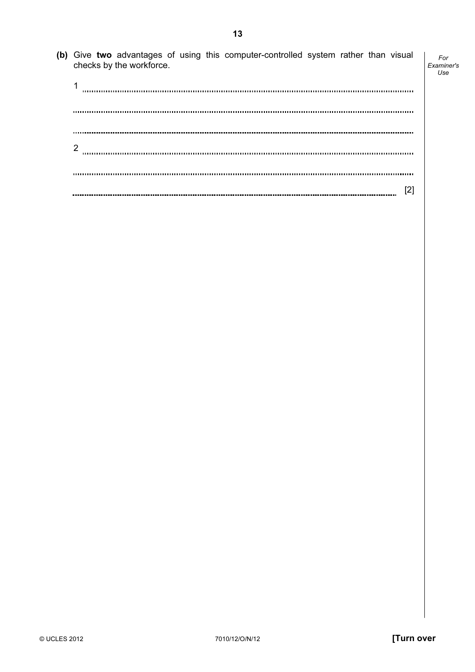(b) Give two advantages of using this computer-controlled system rather than visual checks by the workforce. Examiner's 1 2 [2] 

For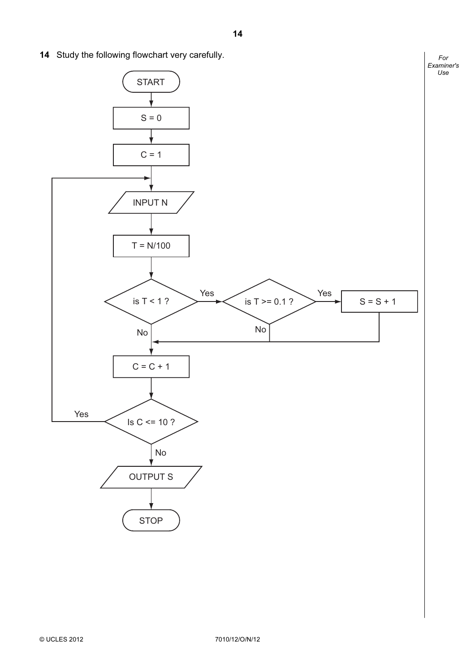14 Study the following flowchart very carefully.



For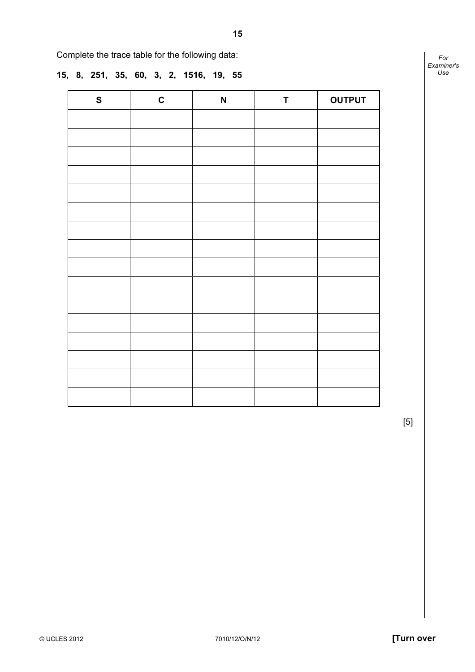Complete the trace table for the following data:

## 15, 8, 251, 35, 60, 3, 2, 1516, 19, 55

| $\mathbf S$ | $\mathbf C$ | $\boldsymbol{\mathsf{N}}$ | T | <b>OUTPUT</b> |
|-------------|-------------|---------------------------|---|---------------|
|             |             |                           |   |               |
|             |             |                           |   |               |
|             |             |                           |   |               |
|             |             |                           |   |               |
|             |             |                           |   |               |
|             |             |                           |   |               |
|             |             |                           |   |               |
|             |             |                           |   |               |
|             |             |                           |   |               |
|             |             |                           |   |               |
|             |             |                           |   |               |
|             |             |                           |   |               |
|             |             |                           |   |               |
|             |             |                           |   |               |
|             |             |                           |   |               |
|             |             |                           |   |               |

For Examiner's Use

 $[5]$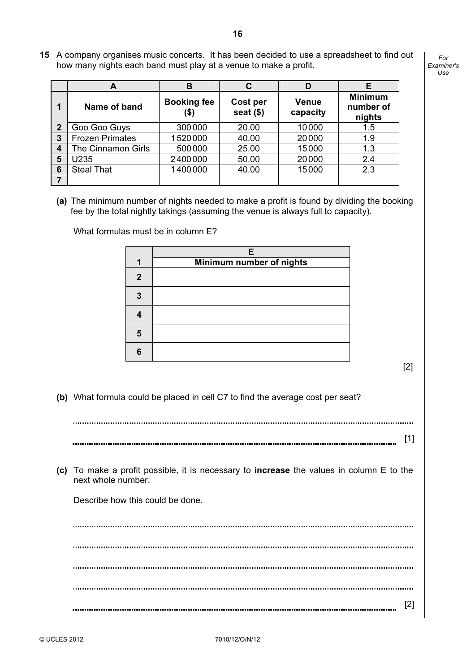15 A company organises music concerts. It has been decided to use a spreadsheet to find out how many nights each band must play at a venue to make a profit.

For Examiner's  $1$ se

|              | A                      | в                          | С                       |                   | Е                                     |
|--------------|------------------------|----------------------------|-------------------------|-------------------|---------------------------------------|
|              | Name of band           | <b>Booking fee</b><br>(\$) | Cost per<br>seat $(\$)$ | Venue<br>capacity | <b>Minimum</b><br>number of<br>nights |
| $\mathbf{2}$ | Goo Goo Guys           | 300000                     | 20.00                   | 10000             | 1.5                                   |
| 3            | <b>Frozen Primates</b> | 1520000                    | 40.00                   | 20000             | 1.9                                   |
| 4            | The Cinnamon Girls     | 500000                     | 25.00                   | 15000             | 1.3                                   |
| 5            | U235                   | 2400000                    | 50.00                   | 20000             | 2.4                                   |
| 6            | <b>Steal That</b>      | 1400000                    | 40.00                   | 15000             | 2.3                                   |
| 7            |                        |                            |                         |                   |                                       |

(a) The minimum number of nights needed to make a profit is found by dividing the booking fee by the total nightly takings (assuming the venue is always full to capacity).

What formulas must be in column E?

|              | F                        |
|--------------|--------------------------|
|              | Minimum number of nights |
| $\mathbf{2}$ |                          |
|              |                          |
|              |                          |
| 5            |                          |
| հ            |                          |

[2]

(b) What formula could be placed in cell C7 to find the average cost per seat?

[1]

 (c) To make a profit possible, it is necessary to increase the values in column E to the next whole number.

Describe how this could be done.

[2]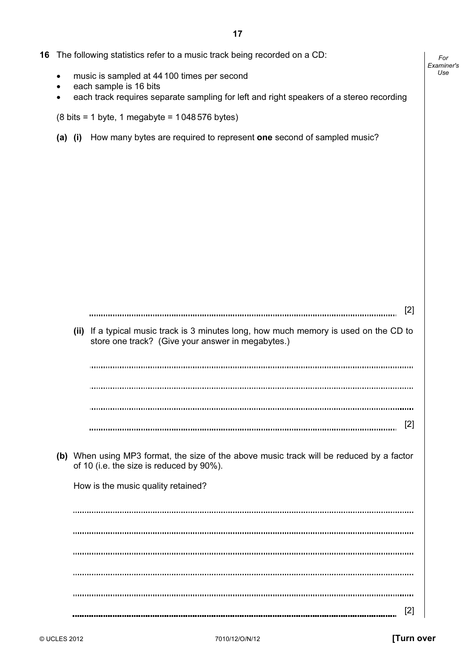|  |  | 16 The following statistics refer to a music track being recorded on a CD: |
|--|--|----------------------------------------------------------------------------|
|  |  |                                                                            |

- music is sampled at 44100 times per second
- each sample is 16 bits
- each track requires separate sampling for left and right speakers of a stereo recording

 $(8 \text{ bits} = 1 \text{ byte}, 1 \text{ megabyte} = 1048576 \text{ bytes})$ 

(a) (i) How many bytes are required to represent one second of sampled music?

| [2]                                                                                                                                        |
|--------------------------------------------------------------------------------------------------------------------------------------------|
| (ii) If a typical music track is 3 minutes long, how much memory is used on the CD to<br>store one track? (Give your answer in megabytes.) |
|                                                                                                                                            |
|                                                                                                                                            |
|                                                                                                                                            |
| [2]                                                                                                                                        |
| (b) When using MP3 format, the size of the above music track will be reduced by a factor<br>of 10 (i.e. the size is reduced by 90%).       |
| How is the music quality retained?                                                                                                         |
|                                                                                                                                            |
|                                                                                                                                            |
|                                                                                                                                            |
|                                                                                                                                            |
|                                                                                                                                            |
| $\mathsf{Z}$                                                                                                                               |

For Examiner's Use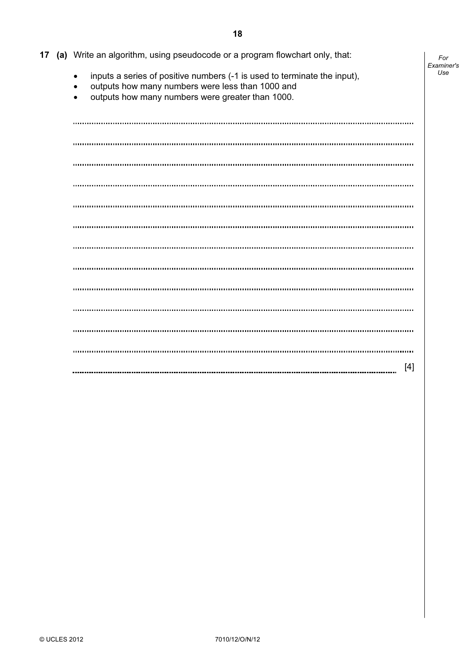|  | 17 (a) Write an algorithm, using pseudocode or a program flowchart only, that:                                                                                                                                          | For<br>Examiner's |
|--|-------------------------------------------------------------------------------------------------------------------------------------------------------------------------------------------------------------------------|-------------------|
|  | inputs a series of positive numbers (-1 is used to terminate the input),<br>$\bullet$<br>outputs how many numbers were less than 1000 and<br>$\bullet$<br>outputs how many numbers were greater than 1000.<br>$\bullet$ | Use               |
|  |                                                                                                                                                                                                                         |                   |
|  |                                                                                                                                                                                                                         |                   |
|  |                                                                                                                                                                                                                         |                   |
|  |                                                                                                                                                                                                                         |                   |
|  |                                                                                                                                                                                                                         |                   |
|  |                                                                                                                                                                                                                         |                   |
|  |                                                                                                                                                                                                                         |                   |
|  |                                                                                                                                                                                                                         |                   |
|  |                                                                                                                                                                                                                         |                   |
|  |                                                                                                                                                                                                                         |                   |
|  |                                                                                                                                                                                                                         |                   |
|  |                                                                                                                                                                                                                         |                   |
|  | $[4]$                                                                                                                                                                                                                   |                   |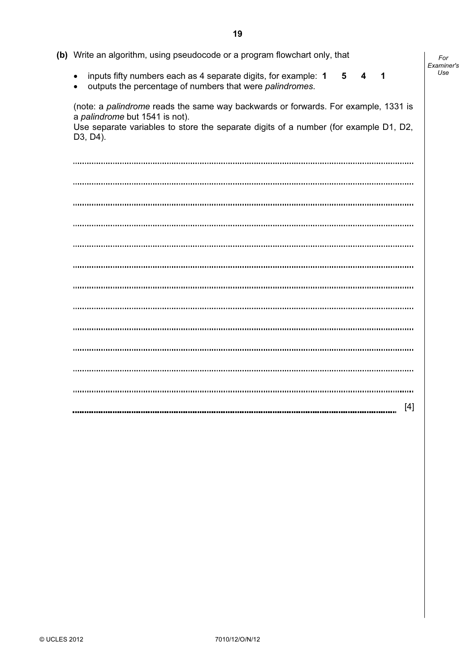| (b) Write an algorithm, using pseudocode or a program flowchart only, that                                                                                                                                               | For<br>Examiner's |
|--------------------------------------------------------------------------------------------------------------------------------------------------------------------------------------------------------------------------|-------------------|
| inputs fifty numbers each as 4 separate digits, for example: 1<br>5<br>4<br>1<br>$\bullet$<br>outputs the percentage of numbers that were palindromes.<br>$\bullet$                                                      | Use               |
| (note: a palindrome reads the same way backwards or forwards. For example, 1331 is<br>a palindrome but 1541 is not).<br>Use separate variables to store the separate digits of a number (for example D1, D2,<br>D3, D4). |                   |
|                                                                                                                                                                                                                          |                   |
|                                                                                                                                                                                                                          |                   |
|                                                                                                                                                                                                                          |                   |
|                                                                                                                                                                                                                          |                   |
|                                                                                                                                                                                                                          |                   |
|                                                                                                                                                                                                                          |                   |
|                                                                                                                                                                                                                          |                   |
|                                                                                                                                                                                                                          |                   |
|                                                                                                                                                                                                                          |                   |
|                                                                                                                                                                                                                          |                   |
|                                                                                                                                                                                                                          |                   |
|                                                                                                                                                                                                                          |                   |
| $[4]$                                                                                                                                                                                                                    |                   |